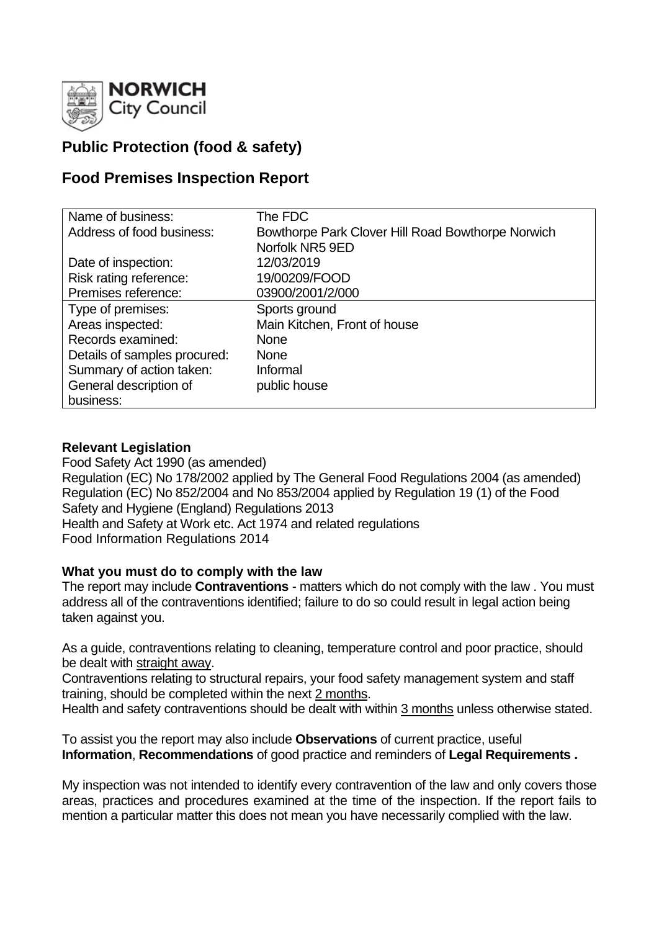

# **Public Protection (food & safety)**

## **Food Premises Inspection Report**

| Name of business:            | The FDC                                           |
|------------------------------|---------------------------------------------------|
| Address of food business:    | Bowthorpe Park Clover Hill Road Bowthorpe Norwich |
|                              | Norfolk NR5 9ED                                   |
| Date of inspection:          | 12/03/2019                                        |
| Risk rating reference:       | 19/00209/FOOD                                     |
| Premises reference:          | 03900/2001/2/000                                  |
| Type of premises:            | Sports ground                                     |
| Areas inspected:             | Main Kitchen, Front of house                      |
| Records examined:            | <b>None</b>                                       |
| Details of samples procured: | <b>None</b>                                       |
| Summary of action taken:     | Informal                                          |
| General description of       | public house                                      |
| business:                    |                                                   |

#### **Relevant Legislation**

Food Safety Act 1990 (as amended) Regulation (EC) No 178/2002 applied by The General Food Regulations 2004 (as amended) Regulation (EC) No 852/2004 and No 853/2004 applied by Regulation 19 (1) of the Food Safety and Hygiene (England) Regulations 2013 Health and Safety at Work etc. Act 1974 and related regulations Food Information Regulations 2014

#### **What you must do to comply with the law**

The report may include **Contraventions** - matters which do not comply with the law . You must address all of the contraventions identified; failure to do so could result in legal action being taken against you.

As a guide, contraventions relating to cleaning, temperature control and poor practice, should be dealt with straight away.

Contraventions relating to structural repairs, your food safety management system and staff training, should be completed within the next 2 months.

Health and safety contraventions should be dealt with within 3 months unless otherwise stated.

To assist you the report may also include **Observations** of current practice, useful **Information**, **Recommendations** of good practice and reminders of **Legal Requirements .**

My inspection was not intended to identify every contravention of the law and only covers those areas, practices and procedures examined at the time of the inspection. If the report fails to mention a particular matter this does not mean you have necessarily complied with the law.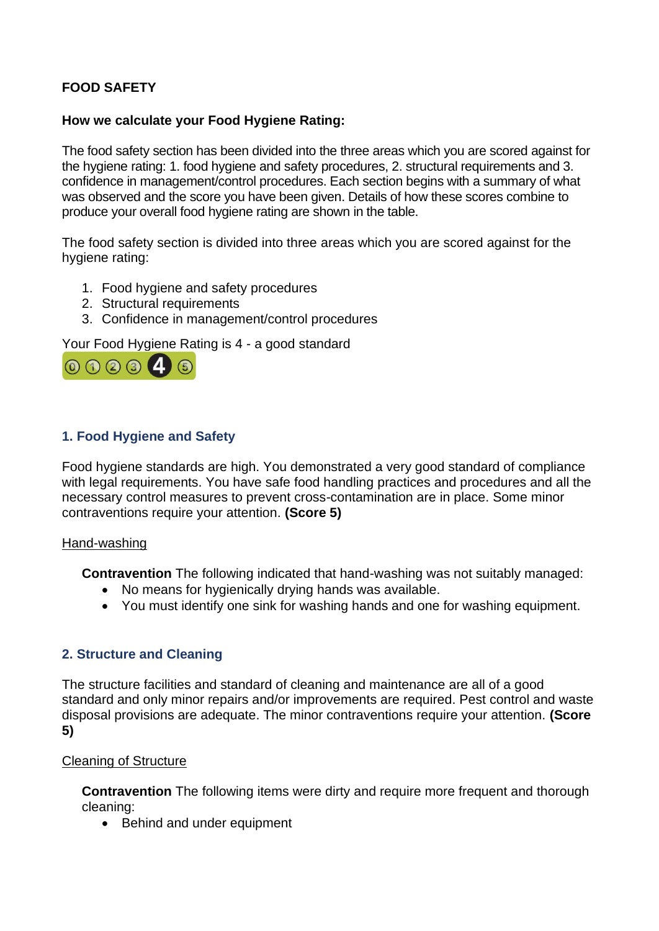## **FOOD SAFETY**

#### **How we calculate your Food Hygiene Rating:**

The food safety section has been divided into the three areas which you are scored against for the hygiene rating: 1. food hygiene and safety procedures, 2. structural requirements and 3. confidence in management/control procedures. Each section begins with a summary of what was observed and the score you have been given. Details of how these scores combine to produce your overall food hygiene rating are shown in the table.

The food safety section is divided into three areas which you are scored against for the hygiene rating:

- 1. Food hygiene and safety procedures
- 2. Structural requirements
- 3. Confidence in management/control procedures

Your Food Hygiene Rating is 4 - a good standard



## **1. Food Hygiene and Safety**

Food hygiene standards are high. You demonstrated a very good standard of compliance with legal requirements. You have safe food handling practices and procedures and all the necessary control measures to prevent cross-contamination are in place. Some minor contraventions require your attention. **(Score 5)**

#### Hand-washing

**Contravention** The following indicated that hand-washing was not suitably managed:

- No means for hygienically drying hands was available.
- You must identify one sink for washing hands and one for washing equipment.

#### **2. Structure and Cleaning**

The structure facilities and standard of cleaning and maintenance are all of a good standard and only minor repairs and/or improvements are required. Pest control and waste disposal provisions are adequate. The minor contraventions require your attention. **(Score 5)**

#### Cleaning of Structure

**Contravention** The following items were dirty and require more frequent and thorough cleaning:

• Behind and under equipment